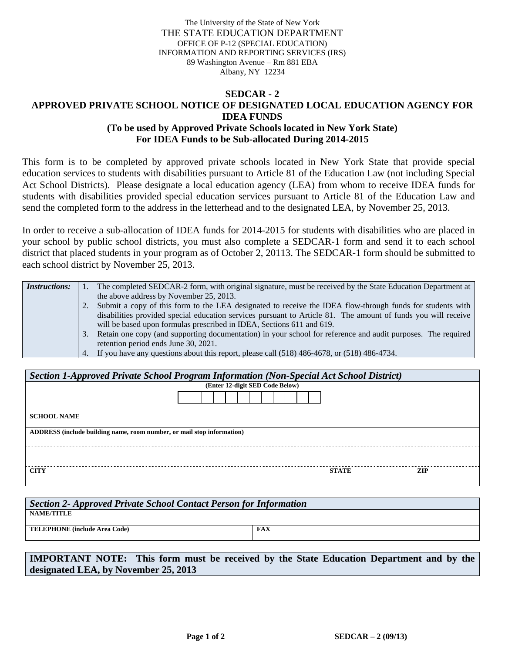The University of the State of New York THE STATE EDUCATION DEPARTMENT OFFICE OF P-12 (SPECIAL EDUCATION) INFORMATION AND REPORTING SERVICES (IRS) 89 Washington Avenue – Rm 881 EBA Albany, NY 12234

## **SEDCAR - 2 APPROVED PRIVATE SCHOOL NOTICE OF DESIGNATED LOCAL EDUCATION AGENCY FOR IDEA FUNDS (To be used by Approved Private Schools located in New York State) For IDEA Funds to be Sub-allocated During 2014-2015**

This form is to be completed by approved private schools located in New York State that provide special education services to students with disabilities pursuant to Article 81 of the Education Law (not including Special Act School Districts). Please designate a local education agency (LEA) from whom to receive IDEA funds for students with disabilities provided special education services pursuant to Article 81 of the Education Law and send the completed form to the address in the letterhead and to the designated LEA, by November 25, 2013.

In order to receive a sub-allocation of IDEA funds for 2014-2015 for students with disabilities who are placed in your school by public school districts, you must also complete a SEDCAR-1 form and send it to each school district that placed students in your program as of October 2, 20113. The SEDCAR-1 form should be submitted to each school district by November 25, 2013.

| <i>Instructions:</i> |    | The completed SEDCAR-2 form, with original signature, must be received by the State Education Department at   |
|----------------------|----|---------------------------------------------------------------------------------------------------------------|
|                      |    | the above address by November 25, 2013.                                                                       |
|                      |    | Submit a copy of this form to the LEA designated to receive the IDEA flow-through funds for students with     |
|                      |    | disabilities provided special education services pursuant to Article 81. The amount of funds you will receive |
|                      |    | will be based upon formulas prescribed in IDEA, Sections 611 and 619.                                         |
|                      | 3. | Retain one copy (and supporting documentation) in your school for reference and audit purposes. The required  |
|                      |    | retention period ends June 30, 2021.                                                                          |
|                      |    | 4. If you have any questions about this report, please call (518) 486-4678, or (518) 486-4734.                |

| Section 1-Approved Private School Program Information (Non-Special Act School District) |              |     |  |  |  |  |  |
|-----------------------------------------------------------------------------------------|--------------|-----|--|--|--|--|--|
| (Enter 12-digit SED Code Below)                                                         |              |     |  |  |  |  |  |
|                                                                                         |              |     |  |  |  |  |  |
| <b>SCHOOL NAME</b>                                                                      |              |     |  |  |  |  |  |
| ADDRESS (include building name, room number, or mail stop information)                  |              |     |  |  |  |  |  |
|                                                                                         |              |     |  |  |  |  |  |
| <b>CITY</b>                                                                             | <b>STATE</b> | ZIP |  |  |  |  |  |

| Section 2- Approved Private School Contact Person for Information |     |  |  |  |  |
|-------------------------------------------------------------------|-----|--|--|--|--|
| <b>NAME/TITLE</b>                                                 |     |  |  |  |  |
| <b>TELEPHONE</b> (include Area Code)                              | FAX |  |  |  |  |
|                                                                   |     |  |  |  |  |

**IMPORTANT NOTE: This form must be received by the State Education Department and by the designated LEA, by November 25, 2013**